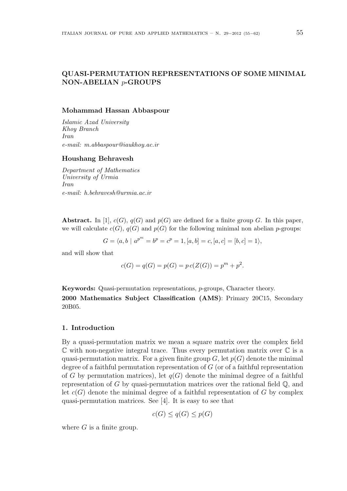# QUASI-PERMUTATION REPRESENTATIONS OF SOME MINIMAL NON-ABELIAN p-GROUPS

#### Mohammad Hassan Abbaspour

Islamic Azad University Khoy Branch Iran e-mail: m.abbaspour@iaukhoy.ac.ir

#### Houshang Behravesh

Department of Mathematics University of Urmia Iran e-mail: h.behravesh@urmia.ac.ir

**Abstract.** In [1],  $c(G)$ ,  $q(G)$  and  $p(G)$  are defined for a finite group G. In this paper, we will calculate  $c(G)$ ,  $q(G)$  and  $p(G)$  for the following minimal non abelian p-groups:

$$
G = \langle a, b \mid a^{p^m} = b^p = c^p = 1, [a, b] = c, [a, c] = [b, c] = 1 \rangle,
$$

and will show that

$$
c(G) = q(G) = p(G) = p c(Z(G)) = pm + p2.
$$

Keywords: Quasi-permutation representations, p-groups, Character theory. 2000 Mathematics Subject Classification (AMS): Primary 20C15, Secondary 20B05.

### 1. Introduction

By a quasi-permutation matrix we mean a square matrix over the complex field  $\mathbb C$  with non-negative integral trace. Thus every permutation matrix over  $\mathbb C$  is a quasi-permutation matrix. For a given finite group  $G$ , let  $p(G)$  denote the minimal degree of a faithful permutation representation of  $G$  (or of a faithful representation of G by permutation matrices), let  $q(G)$  denote the minimal degree of a faithful representation of G by quasi-permutation matrices over the rational field  $\mathbb{Q}$ , and let  $c(G)$  denote the minimal degree of a faithful representation of G by complex quasi-permutation matrices. See [4]. It is easy to see that

$$
c(G) \le q(G) \le p(G)
$$

where  $G$  is a finite group.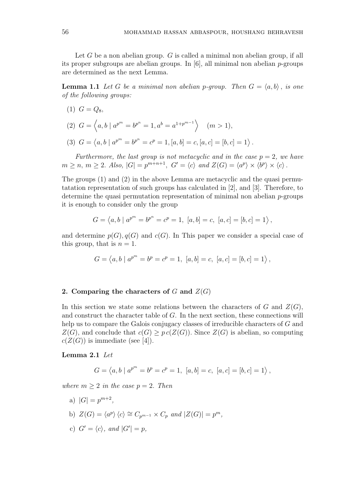Let  $G$  be a non abelian group.  $G$  is called a minimal non abelian group, if all its proper subgroups are abelian groups. In  $[6]$ , all minimal non abelian p-groups are determined as the next Lemma.

**Lemma 1.1** Let G be a minimal non abelian p-group. Then  $G = \langle a, b \rangle$ , is one of the following groups:

 $(1)$   $G = Q_8$ ,

(2) 
$$
G = \langle a, b \mid a^{p^m} = b^{p^n} = 1, a^b = a^{1+p^{m-1}} \rangle
$$
  $(m > 1),$ 

(3) 
$$
G = \langle a, b \mid a^{p^m} = b^{p^n} = c^p = 1, [a, b] = c, [a, c] = [b, c] = 1 \rangle
$$
.

Furthermore, the last group is not metacyclic and in the case  $p = 2$ , we have  $m \ge n, m \ge 2$ . Also,  $|G| = p^{m+n+1}$ ,  $G' = \langle c \rangle$  and  $Z(G) = \langle a^p \rangle \times \langle b^p \rangle \times \langle c \rangle$ .

The groups (1) and (2) in the above Lemma are metacyclic and the quasi permutatation representation of such groups has calculated in [2], and [3]. Therefore, to determine the quasi permutation representation of minimal non abelian p-groups it is enough to consider only the group

$$
G = \langle a, b \mid a^{p^m} = b^{p^n} = c^p = 1, [a, b] = c, [a, c] = [b, c] = 1 \rangle,
$$

and determine  $p(G), q(G)$  and  $c(G)$ . In This paper we consider a special case of this group, that is  $n = 1$ .

$$
G = \langle a, b \mid a^{p^{m}} = b^{p} = c^{p} = 1, [a, b] = c, [a, c] = [b, c] = 1 \rangle,
$$

### 2. Comparing the characters of  $G$  and  $Z(G)$

In this section we state some relations between the characters of G and  $Z(G)$ , and construct the character table of G. In the next section, these connections will help us to compare the Galois conjugacy classes of irreducible characters of G and  $Z(G)$ , and conclude that  $c(G) \geq pc(Z(G))$ . Since  $Z(G)$  is abelian, so computing  $c(Z(G))$  is immediate (see [4]).

#### Lemma 2.1 Let

$$
G = \langle a, b \mid a^{p^{m}} = b^{p} = c^{p} = 1, [a, b] = c, [a, c] = [b, c] = 1 \rangle,
$$

where  $m \geq 2$  in the case  $p = 2$ . Then

- a)  $|G| = p^{m+2}$ ,
- b)  $Z(G) = \langle a^p \rangle \langle c \rangle \cong C_{p^{m-1}} \times C_p$  and  $|Z(G)| = p^m$ ,
- c)  $G' = \langle c \rangle$ , and  $|G'| = p$ ,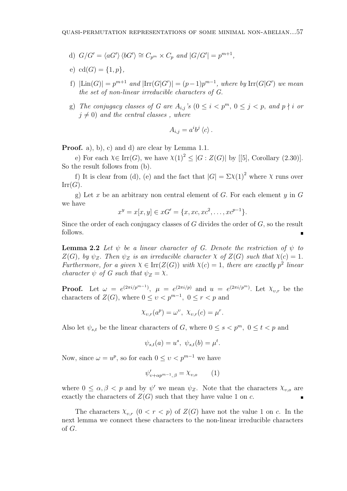- d)  $G/G' = \langle aG' \rangle \langle bG' \rangle \cong C_{p^m} \times C_p$  and  $|G/G'| = p^{m+1}$ ,
- e)  $cd(G) = \{1, p\},\$
- f)  $|\text{Lin}(G)| = p^{m+1}$  and  $|\text{Irr}(G|G')| = (p-1)p^{m-1}$ , where by  $\text{Irr}(G|G')$  we mean the set of non-linear irreducible characters of G.
- g) The conjugacy classes of G are  $A_{i,j}$ 's  $(0 \leq i \leq p^m, 0 \leq j \leq p,$  and  $p \nmid i$  or  $j \neq 0$ ) and the central classes, where

$$
A_{i,j} = a^i b^j \langle c \rangle.
$$

Proof. a), b), c) and d) are clear by Lemma 1.1.

e) For each  $\chi \in \text{Irr}(G)$ , we have  $\chi(1)^2 \leq |G : Z(G)|$  by [[5], Corollary (2.30)]. So the result follows from (b).

f) It is clear from (d), (e) and the fact that  $|G| = \Sigma \chi(1)^2$  where  $\chi$  runs over  $Irr(G).$ 

g) Let x be an arbitrary non central element of G. For each element  $y$  in G we have

$$
x^y = x[x, y] \in xG' = \{x, xc, xc^2, \dots, xc^{p-1}\}.
$$

Since the order of each conjugacy classes of  $G$  divides the order of  $G$ , so the result follows.

**Lemma 2.2** Let  $\psi$  be a linear character of G. Denote the restriction of  $\psi$  to  $Z(G)$ , by  $\psi_Z$ . Then  $\psi_Z$  is an irreducible character  $\chi$  of  $Z(G)$  such that  $\chi(c) = 1$ . Furthermore, for a given  $X \in \text{Irr}(Z(G))$  with  $X(c) = 1$ , there are exactly  $p^2$  linear character  $\psi$  of G such that  $\psi_Z = \chi$ .

**Proof.** Let  $\omega = e^{(2\pi i/p^{m-1})}$ ,  $\mu = e^{(2\pi i/p)}$  and  $u = e^{(2\pi i/p^m)}$ . Let  $\chi_{v,r}$  be the characters of  $Z(G)$ , where  $0 \le v < p^{m-1}$ ,  $0 \le r < p$  and

$$
\chi_{v,r}(a^p) = \omega^v, \ \chi_{v,r}(c) = \mu^r.
$$

Also let  $\psi_{s,t}$  be the linear characters of G, where  $0 \leq s \leq p^m$ ,  $0 \leq t \leq p$  and

$$
\psi_{s,t}(a) = u^s, \ \psi_{s,t}(b) = \mu^t.
$$

Now, since  $\omega = u^p$ , so for each  $0 \le v < p^{m-1}$  we have

$$
\psi'_{\nu+\alpha p^{m-1},\beta} = \chi_{\nu,o} \qquad (1)
$$

where  $0 \leq \alpha, \beta < p$  and by  $\psi'$  we mean  $\psi_Z$ . Note that the characters  $\chi_{v,o}$  are exactly the characters of  $Z(G)$  such that they have value 1 on c.

The characters  $\chi_{v,r}$   $(0 < r < p)$  of  $Z(G)$  have not the value 1 on c. In the next lemma we connect these characters to the non-linear irreducible characters of G.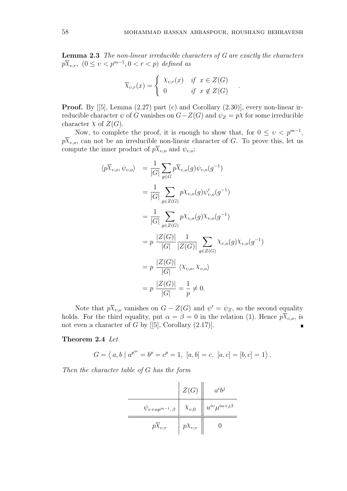.

Lemma 2.3 The non-linear irreducible characters of G are exactly the characters  $p\overline{X}_{v,r}$ ,  $(0 \le v < p^{m-1}, 0 < r < p)$  defined as

$$
\overline{\chi}_{v,r}(x) = \begin{cases} \begin{array}{c} \chi_{v,r}(x) & \text{if } x \in Z(G) \\ 0 & \text{if } x \notin Z(G) \end{array} \end{cases}
$$

**Proof.** By  $[5]$ , Lemma  $(2.27)$  part  $(c)$  and Corollary  $(2.30)$ , every non-linear irreducible character  $\psi$  of G vanishes on  $G-Z(G)$  and  $\psi_Z = p\chi$  for some irreducible character  $\chi$  of  $Z(G)$ .

Now, to complete the proof, it is enough to show that, for  $0 \le v \le p^{m-1}$ ,  $p\overline{X}_{v,o}$ , can not be an irreducible non-linear character of G. To prove this, let us compute the inner product of  $p\overline{X}_{v,o}$  and  $\psi_{v,o}$ :

$$
\langle p\overline{\chi}_{v,o}, \psi_{v,o} \rangle = \frac{1}{|G|} \sum_{g \in G} p\overline{\chi}_{v,o}(g) \psi_{v,o}(g^{-1})
$$
  
\n
$$
= \frac{1}{|G|} \sum_{g \in Z(G)} p\chi_{v,o}(g) \psi'_{v,o}(g^{-1})
$$
  
\n
$$
= \frac{1}{|G|} \sum_{g \in Z(G)} p\chi_{v,o}(g) \chi_{v,o}(g^{-1})
$$
  
\n
$$
= p \frac{|Z(G)|}{|G|} \frac{1}{|Z(G)|} \sum_{g \in Z(G)} \chi_{v,o}(g) \chi_{v,o}(g^{-1})
$$
  
\n
$$
= p \frac{|Z(G)|}{|G|} \langle \chi_{v,o}, \chi_{v,o} \rangle
$$
  
\n
$$
= p \frac{|Z(G)|}{|G|} = \frac{1}{p} \neq 0.
$$

Note that  $p\overline{X}_{v,o}$  vanishes on  $G - Z(G)$  and  $\psi' = \psi_Z$ , so the second equality holds. For the third equality, put  $\alpha = \beta = 0$  in the relation (1). Hence  $p\overline{X}_{v.o.}$  is not even a character of G by  $[5]$ , Corollary  $(2.17)$ .  $\blacksquare$ 

### Theorem 2.4 Let

$$
G = \langle a, b \mid a^{p^{m}} = b^{p} = c^{p} = 1, [a, b] = c, [a, c] = [b, c] = 1 \rangle.
$$

Then the character table of G has the form

|                                 | Z(G)                          | $a^ib^j$                     |
|---------------------------------|-------------------------------|------------------------------|
| $\psi_{v+\alpha p^{m-1},\beta}$ | $\left  \right $ $\chi_{v,0}$ | $u^{iv}\mu^{i\alpha+j\beta}$ |
| $p\bar{\chi}_{v,r}$             | $pX_{v,r}$                    |                              |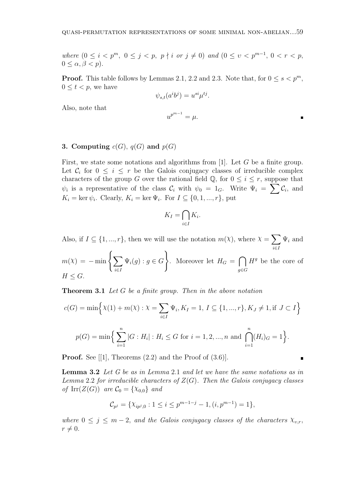where  $(0 \leq i < p^m, 0 \leq j < p, p \nmid i \text{ or } j \neq 0)$  and  $(0 \leq v < p^{m-1}, 0 < r < p,$  $0 \leq \alpha, \beta < p$ ).

**Proof.** This table follows by Lemmas 2.1, 2.2 and 2.3. Note that, for  $0 \le s < p^m$ ,  $0 \leq t \leq p$ , we have

$$
\psi_{s,t}(a^i b^j) = u^{si} \mu^{tj}.
$$

Also, note that

$$
u^{p^{m-1}} = \mu.
$$

## 3. Computing  $c(G)$ ,  $q(G)$  and  $p(G)$

First, we state some notations and algorithms from [1]. Let G be a finite group. Let  $\mathcal{C}_i$  for  $0 \leq i \leq r$  be the Galois conjugacy classes of irreducible complex characters of the group G over the rational field  $\mathbb{Q}$ , for  $0 \leq i \leq r$ , suppose that characters of the group G over the rational field  $\psi$ , for  $0 \leq i \leq r$ , suppose that  $\psi_i$  is a representative of the class  $\mathcal{C}_i$  with  $\psi_0 = 1_G$ . Write  $\Psi_i = \sum \mathcal{C}_i$ , and  $K_i = \ker \psi_i$ . Clearly,  $K_i = \ker \Psi_i$ . For  $I \subseteq \{0, 1, ..., r\}$ , put

$$
K_I = \bigcap_{i \in I} K_i.
$$

Also, if  $I \subseteq \{1, ..., r\}$ , then we will use the notation  $m(\chi)$ , where  $\chi =$  $\overline{\phantom{a}}$ i∈I  $\Psi_i$  and  $\mathbf{r}$ 

$$
m(\mathcal{X}) = -\min\left\{\sum_{i \in I} \Psi_i(g) : g \in G\right\}.
$$
 Moreover let  $H_G = \bigcap_{g \in G} H^g$  be the core of  $H \leq G$ .

**Theorem 3.1** Let G be a finite group. Then in the above notation

$$
c(G) = \min\Big\{\chi(1) + m(\chi) : \chi = \sum_{i \in I} \Psi_i, K_I = 1, I \subseteq \{1, ..., r\}, K_J \neq 1, \text{if } J \subset I\Big\}
$$
  

$$
p(G) = \min\Big\{\sum_{i=1}^n |G : H_i| : H_i \le G \text{ for } i = 1, 2, ..., n \text{ and } \bigcap_{i=1}^n (H_i)_{G} = 1\Big\}.
$$

**Proof.** See [[1], Theorems  $(2.2)$  and the Proof of  $(3.6)$ ].

Lemma 3.2 Let G be as in Lemma 2.1 and let we have the same notations as in Lemma 2.2 for irreducible characters of  $Z(G)$ . Then the Galois conjugacy classes of Irr $(Z(G))$  are  $\mathcal{C}_0 = \{X_{0,0}\}\$  and

$$
\mathcal{C}_{p^j} = \{ \chi_{ip^j,0} : 1 \le i \le p^{m-1-j} - 1, (i, p^{m-1}) = 1 \},\
$$

where  $0 \leq j \leq m-2$ , and the Galois conjugacy classes of the characters  $\chi_{v,r}$ ,  $r \neq 0.$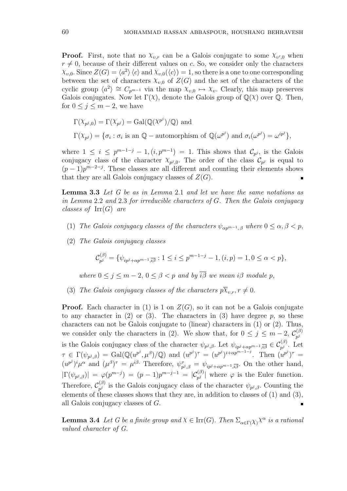**Proof.** First, note that no  $\chi_{v,r}$  can be a Galois conjugate to some  $\chi_{v',0}$  when  $r \neq 0$ , because of their different values on c. So, we consider only the characters  $\chi_{v,0}$ . Since  $Z(G) = \langle a^2 \rangle \langle c \rangle$  and  $\chi_{v,0}(\langle c \rangle) = 1$ , so there is a one to one corresponding between the set of characters  $\chi_{v,0}$  of  $Z(G)$  and the set of the characters of the cyclic group  $\langle a^2 \rangle \cong C_{p^{m-1}}$  via the map  $\chi_{v,0} \mapsto \chi_v$ . Clearly, this map preserves Galois conjugates. Now let  $\Gamma(\chi)$ , denote the Galois group of  $\mathbb{Q}(\chi)$  over  $\mathbb{Q}$ . Then, for  $0 \leq j \leq m-2$ , we have

$$
\Gamma(\chi_{p^j,0}) = \Gamma(\chi_{p^j}) = \text{Gal}(\mathbb{Q}(\chi^{p^j})/\mathbb{Q}) \text{ and}
$$
  

$$
\Gamma(\chi_{p^j}) = \{\sigma_i : \sigma_i \text{ is an } \mathbb{Q} - \text{automorphism of } \mathbb{Q}(\omega^{p^j}) \text{ and } \sigma_i(\omega^{p^j}) = \omega^{ip^j}\},
$$

where  $1 \leq i \leq p^{m-1-j} - 1$ ,  $(i, p^{m-1}) = 1$ . This shows that  $\mathcal{C}_{p^j}$ , is the Galois conjugacy class of the character  $\chi_{p^j,0}$ . The order of the class  $\mathcal{C}_{p^j}$  is equal to  $(p-1)p^{m-2-j}$ . These classes are all different and counting their elements shows that they are all Galois conjugacy classes of  $Z(G)$ .

Lemma 3.3 Let G be as in Lemma 2.1 and let we have the same notations as in Lemma 2.2 and 2.3 for irreducible characters of G. Then the Galois conjugacy classes of  $\mathrm{Irr}(G)$  are

- (1) The Galois conjugacy classes of the characters  $\psi_{\alpha p^{m-1},\beta}$  where  $0 \leq \alpha, \beta < p$ ,
- (2) The Galois conjugacy classes

$$
\mathcal{C}_{p^j}^{(\beta)} = \{ \psi_{ip^j + \alpha p^{m-1}, \overline{i\beta}} : 1 \le i \le p^{m-1-j} - 1, (i, p) = 1, 0 \le \alpha < p \},
$$

where  $0 \le j \le m-2$ ,  $0 \le \beta \le p$  and by  $\overline{i\beta}$  we mean  $i\beta$  module p,

(3) The Galois conjugacy classes of the characters  $p\overline{X}_{v,r}, r \neq 0$ .

**Proof.** Each character in (1) is 1 on  $Z(G)$ , so it can not be a Galois conjugate to any character in (2) or (3). The characters in (3) have degree p, so these characters can not be Galois conjugate to (linear) characters in (1) or (2). Thus, we consider only the characters in (2). We show that, for  $0 \leq j \leq m-2$ ,  $\mathcal{C}_{ni}^{(\beta)}$  $p^j$ is the Galois conjugacy class of the character  $\psi_{p^j,\beta}$ . Let  $\psi_{ip^j+\alpha p^{m-1},\overline{i\beta}} \in C_{p^j}^{(\beta)}$ . Let  $\tau \in \Gamma(\psi_{p^j,\beta}) = \text{Gal}(\mathbb{Q}(u^{p^j},\mu^{\beta})/\mathbb{Q})$  and  $(u^{p^j})^{\tau} = (u^{p^j})^{i+\alpha p^{m-1-j}}$ . Then  $(u^{p^j})^{\tau} =$  $(u^{p^j})^i \mu^{\alpha}$  and  $(\mu^{\beta})^{\tau} = \mu^{i\beta}$ . Therefore,  $\psi^{\tau}_{n}$  $\tau_{p^j,\beta} = \psi_{ip^j + \alpha p^{m-1}, \overline{i\beta}}$ . On the other hand,  $|\Gamma(\psi_{p^j,\beta})| = \varphi(p^{m-j}) = (p-1)p^{m-j-1} = |\mathcal{C}_{p^j}^{(\beta)}|$  where  $\varphi$  is the Euler function. Therefore,  $\mathcal{C}_{ni}^{(\beta)}$  $\psi_{p^j}^{(\beta)}$  is the Galois conjugacy class of the character  $\psi_{p^j,\beta}$ . Counting the elements of these classes shows that they are, in addition to classes of (1) and (3), all Galois conjugacy classes of G.  $\blacksquare$ 

**Lemma 3.4** Let G be a finite group and  $X \in \text{Irr}(G)$ . Then  $\Sigma_{\alpha \in \Gamma(\chi)} \chi^{\alpha}$  is a rational valued character of G.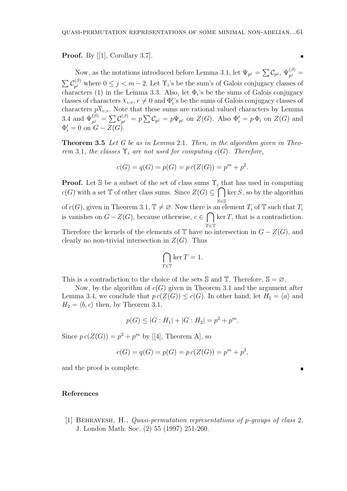**Proof.** By  $[1]$ , Corollary 3.7].

Now, as the notations introduced before Lemma 3.1, let  $\Psi_{p^j} = \sum C_{p^j}$ ,  $\Psi_{p^j}^{(\beta)} =$  $\sum C_{ni}^{(\beta)}$  $p_i^{(\beta)}$  where  $0 \leq j < m-2$ . Let  $\Upsilon_i$ 's be the sum's of Galois conjugacy classes of characters (1) in the Lemma 3.3. Also, let  $\Phi_i$ 's be the sums of Galois conjugacy classes of characters  $\chi_{v,r}$ ,  $r \neq 0$  and  $\Phi_i$ 's be the sums of Galois conjugacy classes of characters  $p\overline{X}_{v,r}$ . Note that these sums are rational valued characters by Lemma 3.4 and  $\Psi_{p^j}^{(\beta)} = \sum_{p^j} C_{p^j}^{(\beta)}$  $\phi_{p^j}^{(\beta)} = p \sum \mathcal{C}_{p^j} = p \Psi_{p^j}$  on  $Z(G)$ . Also  $\Phi'_i = p \Phi_i$  on  $Z(G)$  and  $\Phi'_i = 0$  on  $G - Z(G)$ .

Theorem 3.5 Let G be as in Lemma 2.1. Then, in the algorithm given in Theorem 3.1, the classes  $\Upsilon_i$  are not used for computing c(G). Therefore,

$$
c(G) = q(G) = p(G) = p c(Z(G)) = pm + p2.
$$

**Proof.** Let S be a subset of the set of class sums  $\Upsilon_i$  that has used in computing  $c(G)$  with a set T of other class sums. Since  $Z(G) \subseteq$ S∈S  $\ker S$ , so by the algorithm of  $c(G)$ , given in Theorem 3.1,  $\mathbb{T} \neq \emptyset$ . Now there is an element  $T_i$  of  $\mathbb{T}$  such that  $T_i$ is vanishes on  $G-Z(G)$ , because otherwise,  $c \in \bigcap$  ker T, that is a contradiction.  $T \in \mathbb{T}$ Therefore the kernels of the elements of  $\mathbb T$  have no intersection in  $G - Z(G)$ , and clearly no non-trivial intersection in  $Z(G)$ . Thus

$$
\bigcap_{T \in \mathbb{T}} \ker T = 1.
$$

This is a contradiction to the choice of the sets S and T. Therefore,  $\mathbb{S} = \emptyset$ .

Now, by the algorithm of  $c(G)$  given in Theorem 3.1 and the argument after Lemma 3.4, we conclude that  $p \cdot c(Z(G)) \leq c(G)$ . In other hand, let  $H_1 = \langle a \rangle$  and  $H_2 = \langle b, c \rangle$  then, by Theorem 3.1,

$$
p(G) \le |G:H_1| + |G:H_2| = p^2 + p^m.
$$

Since  $p c(Z(G)) = p^2 + p^m$  by [[4], Theorem A], so

$$
c(G) = q(G) = p(G) = p c(Z(G)) = pm + p2,
$$

and the proof is complete.

### References

[1] Behravesh, H., Quasi-permutation representations of p-groups of class 2, J. London Math. Soc. (2) 55 (1997) 251-260.

 $\blacksquare$